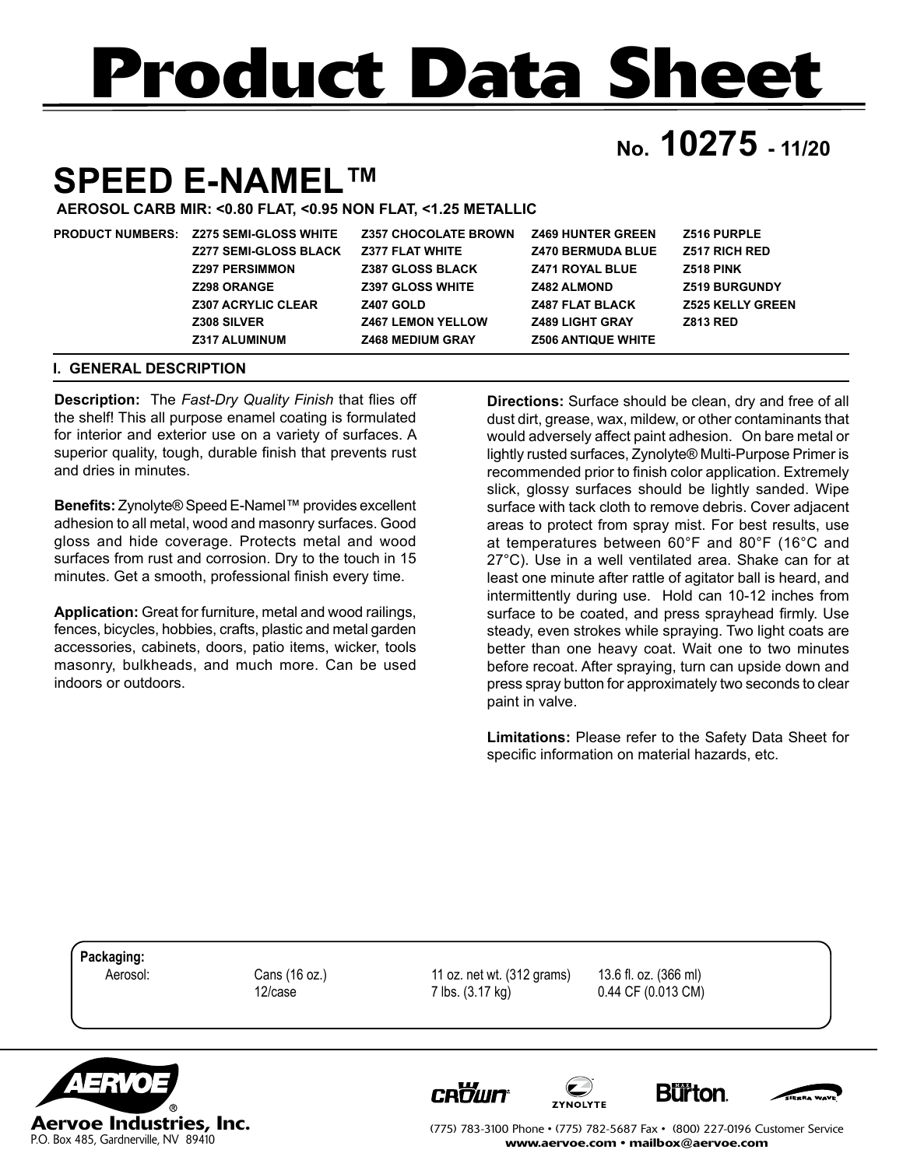# **Product Data Sheet**

## **No. 10275 - 11/20**

## **SPEED E-NAMEL™**

**AEROSOL CARB MIR: <0.80 FLAT, <0.95 NON FLAT, <1.25 METALLIC** 

| <b>PRODUCT NUMBERS:</b> | <b>Z275 SEMI-GLOSS WHITE</b> | <b>Z357 CHOCOLATE BROWN</b> | <b>Z469 HUNTER GREEN</b>  | <b>Z516 PURPLE</b>      |
|-------------------------|------------------------------|-----------------------------|---------------------------|-------------------------|
|                         | <b>Z277 SEMI-GLOSS BLACK</b> | <b>Z377 FLAT WHITE</b>      | <b>Z470 BERMUDA BLUE</b>  | <b>Z517 RICH RED</b>    |
|                         | <b>Z297 PERSIMMON</b>        | <b>Z387 GLOSS BLACK</b>     | <b>Z471 ROYAL BLUE</b>    | Z518 PINK               |
|                         | <b>Z298 ORANGE</b>           | <b>Z397 GLOSS WHITE</b>     | <b>Z482 ALMOND</b>        | <b>Z519 BURGUNDY</b>    |
|                         | <b>Z307 ACRYLIC CLEAR</b>    | <b>Z407 GOLD</b>            | <b>Z487 FLAT BLACK</b>    | <b>Z525 KELLY GREEN</b> |
|                         | <b>Z308 SILVER</b>           | <b>Z467 LEMON YELLOW</b>    | <b>Z489 LIGHT GRAY</b>    | <b>Z813 RED</b>         |
|                         | <b>Z317 ALUMINUM</b>         | <b>Z468 MEDIUM GRAY</b>     | <b>Z506 ANTIQUE WHITE</b> |                         |

#### **I. GENERAL DESCRIPTION**

**Description:** The *Fast-Dry Quality Finish* that flies off the shelf! This all purpose enamel coating is formulated for interior and exterior use on a variety of surfaces. A superior quality, tough, durable finish that prevents rust and dries in minutes.

**Benefits:** Zynolyte® Speed E-Namel™ provides excellent adhesion to all metal, wood and masonry surfaces. Good gloss and hide coverage. Protects metal and wood surfaces from rust and corrosion. Dry to the touch in 15 minutes. Get a smooth, professional finish every time.

**Application:** Great for furniture, metal and wood railings, fences, bicycles, hobbies, crafts, plastic and metal garden accessories, cabinets, doors, patio items, wicker, tools masonry, bulkheads, and much more. Can be used indoors or outdoors.

**Directions:** Surface should be clean, dry and free of all dust dirt, grease, wax, mildew, or other contaminants that would adversely affect paint adhesion. On bare metal or lightly rusted surfaces, Zynolyte® Multi-Purpose Primer is recommended prior to finish color application. Extremely slick, glossy surfaces should be lightly sanded. Wipe surface with tack cloth to remove debris. Cover adjacent areas to protect from spray mist. For best results, use at temperatures between 60°F and 80°F (16°C and 27°C). Use in a well ventilated area. Shake can for at least one minute after rattle of agitator ball is heard, and intermittently during use. Hold can 10-12 inches from surface to be coated, and press sprayhead firmly. Use steady, even strokes while spraying. Two light coats are better than one heavy coat. Wait one to two minutes before recoat. After spraying, turn can upside down and press spray button for approximately two seconds to clear paint in valve.

**Limitations:** Please refer to the Safety Data Sheet for specific information on material hazards, etc.

**Packaging:**

 Aerosol: Cans (16 oz.) 11 oz. net wt. (312 grams) 13.6 fl. oz. (366 ml) 12/case 7 lbs. (3.17 kg) 0.44 CF (0.013 CM)



**CROWN** 







(775) 783-3100 Phone • (775) 782-5687 Fax • (800) 227-0196 Customer Service www.aervoe.com • mailbox@aervoe.com